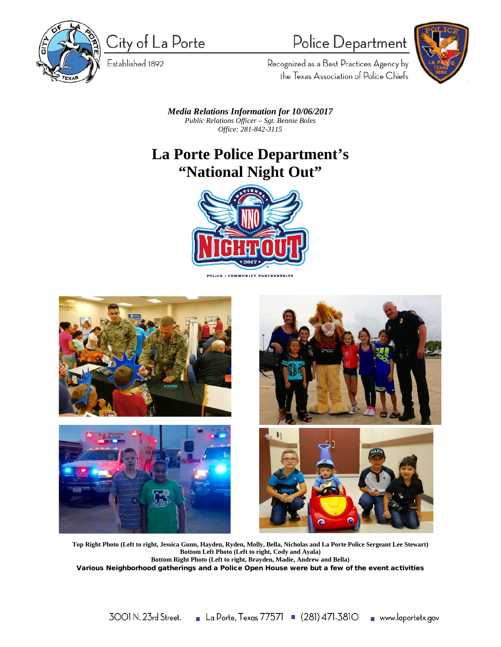

City of La Porte

Established 1892

## Police Department



Recognized as a Best Practices Agency by the Texas Association of Police Chiefs

*Media Relations Information for 10/06/2017 Public Relations Officer – Sgt. Bennie Boles Office: 281-842-3115*

## **La Porte Police Department's "National Night Out"**



**POLICE · COMMUNITY PARTNERSHIPS** 







**Top Right Photo (Left to right, Jessica Gunn, Hayden, Ryden, Molly, Bella, Nicholas and La Porte Police Sergeant Lee Stewart) Bottom Left Photo (Left to right, Cody and Ayala) Bottom Right Photo (Left to right, Brayden, Madie, Andrew and Bella)** 

Various Neighborhood gatherings and a Police Open House were but a few of the event activities